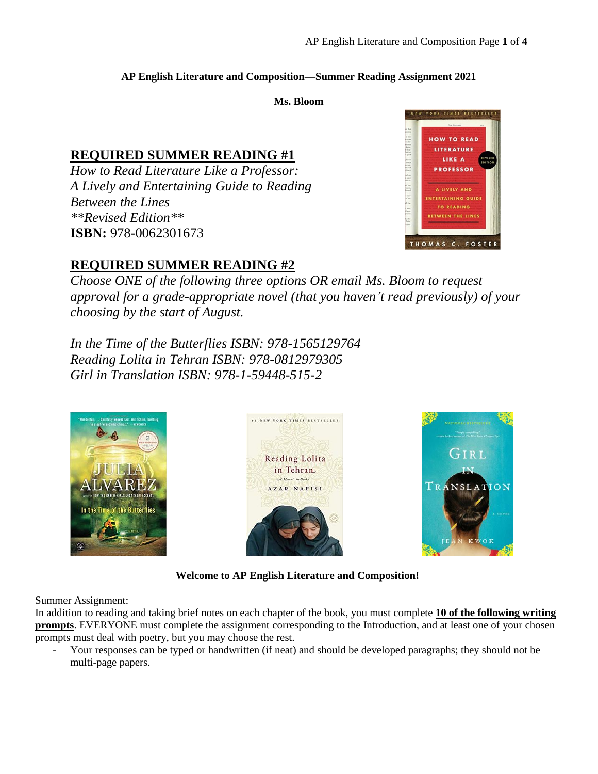### **AP English Literature and Composition—Summer Reading Assignment 2021**

**Ms. Bloom**

# **REQUIRED SUMMER READING #1**

*How to Read Literature Like a Professor: A Lively and Entertaining Guide to Reading Between the Lines \*\*Revised Edition\*\** **ISBN:** 978-0062301673



# **REQUIRED SUMMER READING #2**

*Choose ONE of the following three options OR email Ms. Bloom to request approval for a grade-appropriate novel (that you haven't read previously) of your choosing by the start of August.*

*In the Time of the Butterflies ISBN: 978-1565129764 Reading Lolita in Tehran ISBN: 978-0812979305 Girl in Translation ISBN: 978-1-59448-515-2*







**Welcome to AP English Literature and Composition!**

Summer Assignment:

In addition to reading and taking brief notes on each chapter of the book, you must complete **10 of the following writing prompts**. EVERYONE must complete the assignment corresponding to the Introduction, and at least one of your chosen prompts must deal with poetry, but you may choose the rest.

Your responses can be typed or handwritten (if neat) and should be developed paragraphs; they should not be multi-page papers.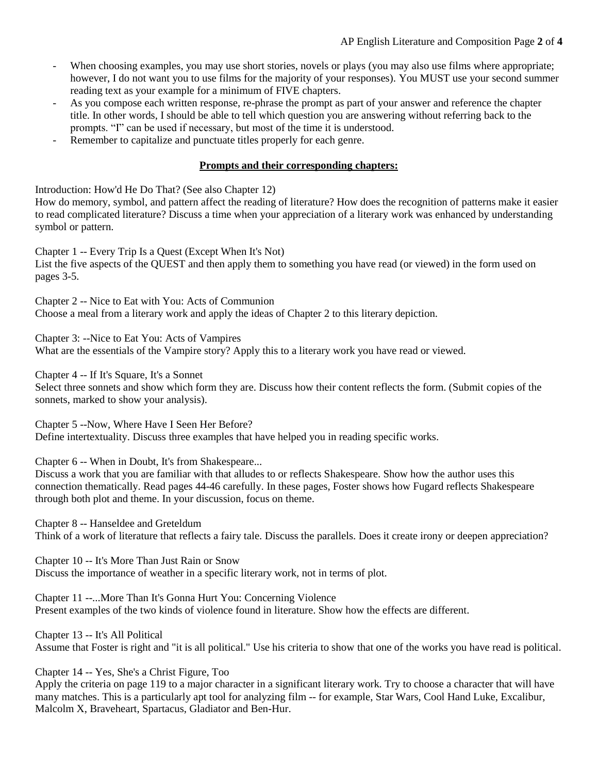- When choosing examples, you may use short stories, novels or plays (you may also use films where appropriate; however, I do not want you to use films for the majority of your responses). You MUST use your second summer reading text as your example for a minimum of FIVE chapters.
- As you compose each written response, re-phrase the prompt as part of your answer and reference the chapter title. In other words, I should be able to tell which question you are answering without referring back to the prompts. "I" can be used if necessary, but most of the time it is understood.
- Remember to capitalize and punctuate titles properly for each genre.

#### **Prompts and their corresponding chapters:**

Introduction: How'd He Do That? (See also Chapter 12) How do memory, symbol, and pattern affect the reading of literature? How does the recognition of patterns make it easier to read complicated literature? Discuss a time when your appreciation of a literary work was enhanced by understanding symbol or pattern.

Chapter 1 -- Every Trip Is a Quest (Except When It's Not) List the five aspects of the QUEST and then apply them to something you have read (or viewed) in the form used on pages 3-5.

Chapter 2 -- Nice to Eat with You: Acts of Communion Choose a meal from a literary work and apply the ideas of Chapter 2 to this literary depiction.

Chapter 3: --Nice to Eat You: Acts of Vampires What are the essentials of the Vampire story? Apply this to a literary work you have read or viewed.

Chapter 4 -- If It's Square, It's a Sonnet

Select three sonnets and show which form they are. Discuss how their content reflects the form. (Submit copies of the sonnets, marked to show your analysis).

Chapter 5 --Now, Where Have I Seen Her Before? Define intertextuality. Discuss three examples that have helped you in reading specific works.

Chapter 6 -- When in Doubt, It's from Shakespeare...

Discuss a work that you are familiar with that alludes to or reflects Shakespeare. Show how the author uses this connection thematically. Read pages 44-46 carefully. In these pages, Foster shows how Fugard reflects Shakespeare through both plot and theme. In your discussion, focus on theme.

Chapter 8 -- Hanseldee and Greteldum Think of a work of literature that reflects a fairy tale. Discuss the parallels. Does it create irony or deepen appreciation?

Chapter 10 -- It's More Than Just Rain or Snow Discuss the importance of weather in a specific literary work, not in terms of plot.

Chapter 11 --...More Than It's Gonna Hurt You: Concerning Violence Present examples of the two kinds of violence found in literature. Show how the effects are different.

Chapter 13 -- It's All Political

Assume that Foster is right and "it is all political." Use his criteria to show that one of the works you have read is political.

Chapter 14 -- Yes, She's a Christ Figure, Too

Apply the criteria on page 119 to a major character in a significant literary work. Try to choose a character that will have many matches. This is a particularly apt tool for analyzing film -- for example, Star Wars, Cool Hand Luke, Excalibur, Malcolm X, Braveheart, Spartacus, Gladiator and Ben-Hur.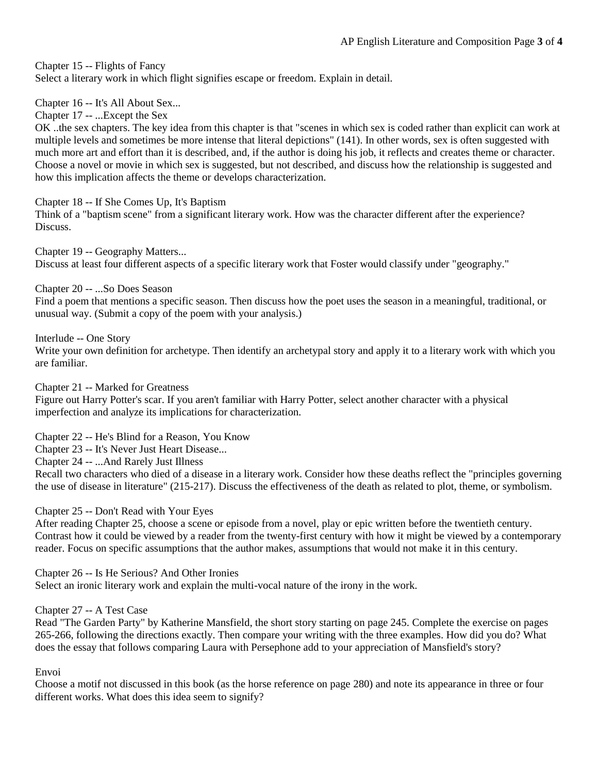Chapter 15 -- Flights of Fancy Select a literary work in which flight signifies escape or freedom. Explain in detail.

Chapter 16 -- It's All About Sex...

Chapter 17 -- ...Except the Sex

OK ..the sex chapters. The key idea from this chapter is that "scenes in which sex is coded rather than explicit can work at multiple levels and sometimes be more intense that literal depictions" (141). In other words, sex is often suggested with much more art and effort than it is described, and, if the author is doing his job, it reflects and creates theme or character. Choose a novel or movie in which sex is suggested, but not described, and discuss how the relationship is suggested and how this implication affects the theme or develops characterization.

Chapter 18 -- If She Comes Up, It's Baptism Think of a "baptism scene" from a significant literary work. How was the character different after the experience? Discuss.

Chapter 19 -- Geography Matters... Discuss at least four different aspects of a specific literary work that Foster would classify under "geography."

Chapter 20 -- ...So Does Season

Find a poem that mentions a specific season. Then discuss how the poet uses the season in a meaningful, traditional, or unusual way. (Submit a copy of the poem with your analysis.)

Interlude -- One Story

Write your own definition for archetype. Then identify an archetypal story and apply it to a literary work with which you are familiar.

Chapter 21 -- Marked for Greatness

Figure out Harry Potter's scar. If you aren't familiar with Harry Potter, select another character with a physical imperfection and analyze its implications for characterization.

Chapter 22 -- He's Blind for a Reason, You Know

Chapter 23 -- It's Never Just Heart Disease...

Chapter 24 -- ...And Rarely Just Illness

Recall two characters who died of a disease in a literary work. Consider how these deaths reflect the "principles governing the use of disease in literature" (215-217). Discuss the effectiveness of the death as related to plot, theme, or symbolism.

Chapter 25 -- Don't Read with Your Eyes

After reading Chapter 25, choose a scene or episode from a novel, play or epic written before the twentieth century. Contrast how it could be viewed by a reader from the twenty-first century with how it might be viewed by a contemporary reader. Focus on specific assumptions that the author makes, assumptions that would not make it in this century.

Chapter 26 -- Is He Serious? And Other Ironies

Select an ironic literary work and explain the multi-vocal nature of the irony in the work.

Chapter 27 -- A Test Case

Read "The Garden Party" by Katherine Mansfield, the short story starting on page 245. Complete the exercise on pages 265-266, following the directions exactly. Then compare your writing with the three examples. How did you do? What does the essay that follows comparing Laura with Persephone add to your appreciation of Mansfield's story?

Envoi

Choose a motif not discussed in this book (as the horse reference on page 280) and note its appearance in three or four different works. What does this idea seem to signify?